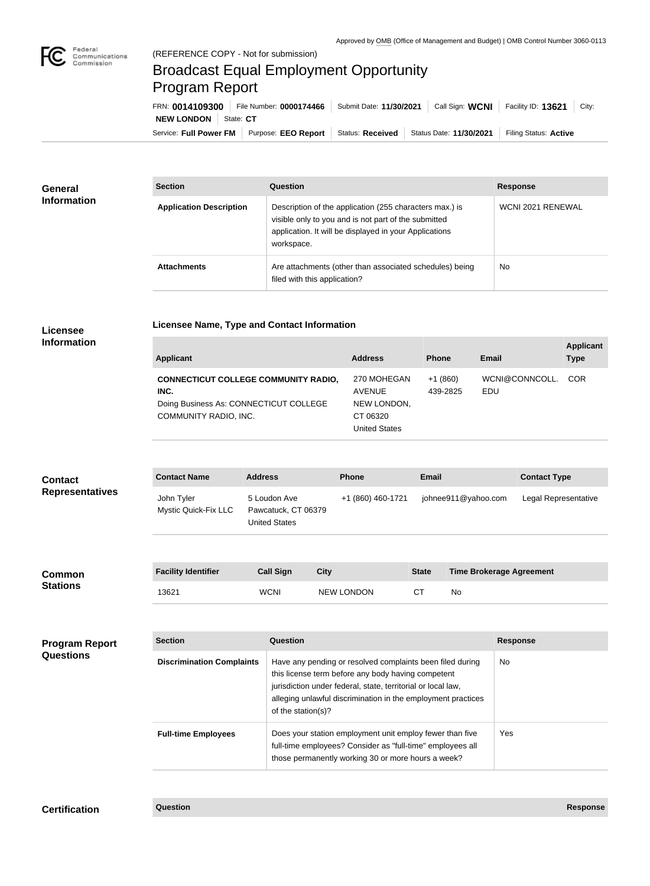

**COL** 

## Broadcast Equal Employment Opportunity Program Report

**Licensee Name, Type and Contact Information**

Service: Full Power FM | Purpose: EEO Report | Status: Received | Status Date: 11/30/2021 | Filing Status: Active **NEW LONDON** | State: CT FRN: **0014109300** File Number: **0000174466** Submit Date: **11/30/2021** Call Sign: **WCNI** Facility ID: **13621** City:

| <b>General</b><br><b>Information</b> | <b>Section</b>                 | Question                                                                                                                                                                                | <b>Response</b>   |
|--------------------------------------|--------------------------------|-----------------------------------------------------------------------------------------------------------------------------------------------------------------------------------------|-------------------|
|                                      | <b>Application Description</b> | Description of the application (255 characters max.) is<br>visible only to you and is not part of the submitted<br>application. It will be displayed in your Applications<br>workspace. | WCNI 2021 RENEWAL |
|                                      | <b>Attachments</b>             | Are attachments (other than associated schedules) being<br>filed with this application?                                                                                                 | No.               |

## **Licensee Information**

| Applicant                                                                                                              | <b>Address</b>                                                                  | <b>Phone</b>          | <b>Email</b>          | <b>Applicant</b><br><b>Type</b> |
|------------------------------------------------------------------------------------------------------------------------|---------------------------------------------------------------------------------|-----------------------|-----------------------|---------------------------------|
| <b>CONNECTICUT COLLEGE COMMUNITY RADIO,</b><br>INC.<br>Doing Business As: CONNECTICUT COLLEGE<br>COMMUNITY RADIO, INC. | 270 MOHEGAN<br><b>AVENUE</b><br>NEW LONDON,<br>CT 06320<br><b>United States</b> | $+1(860)$<br>439-2825 | WCNI@CONNCOLL.<br>EDU | COR <sup>.</sup>                |

| <b>Contact</b><br><b>Representatives</b> | <b>Contact Name</b>                | <b>Address</b>                                              | <b>Phone</b>      | <b>Email</b> |                                 | <b>Contact Type</b>  |
|------------------------------------------|------------------------------------|-------------------------------------------------------------|-------------------|--------------|---------------------------------|----------------------|
|                                          | John Tyler<br>Mystic Quick-Fix LLC | 5 Loudon Ave<br>Pawcatuck, CT 06379<br><b>United States</b> | +1 (860) 460-1721 |              | johnee911@yahoo.com             | Legal Representative |
|                                          |                                    |                                                             |                   |              |                                 |                      |
| <b>Common</b><br><b>Stations</b>         | <b>Facility Identifier</b>         | <b>Call Sign</b><br><b>City</b>                             |                   | <b>State</b> | <b>Time Brokerage Agreement</b> |                      |
|                                          | 13621                              | <b>WCNI</b>                                                 | <b>NEW LONDON</b> | CT           | No                              |                      |

| <b>Program Report</b><br><b>Questions</b> | <b>Section</b>                   | Question                                                                                                                                                                                                                                                              | <b>Response</b> |  |
|-------------------------------------------|----------------------------------|-----------------------------------------------------------------------------------------------------------------------------------------------------------------------------------------------------------------------------------------------------------------------|-----------------|--|
|                                           | <b>Discrimination Complaints</b> | Have any pending or resolved complaints been filed during<br>this license term before any body having competent<br>jurisdiction under federal, state, territorial or local law,<br>alleging unlawful discrimination in the employment practices<br>of the station(s)? | No              |  |
|                                           | <b>Full-time Employees</b>       | Does your station employment unit employ fewer than five<br>full-time employees? Consider as "full-time" employees all<br>those permanently working 30 or more hours a week?                                                                                          | Yes             |  |

**Certification Question Response**